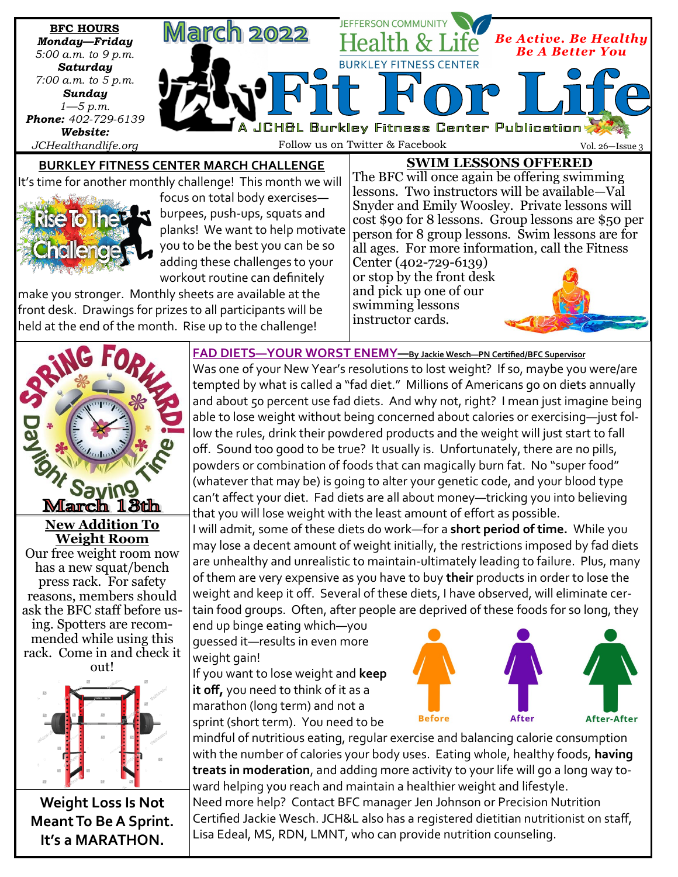

front desk. Drawings for prizes to all participants will be held at the end of the month. Rise up to the challenge!

swimming lessons instructor cards.







**Weight Loss Is Not Meant To Be A Sprint. It's a MARATHON.**

**FAD DIETS—YOUR WORST ENEMY—By Jackie Wesch—PN Certified/BFC Supervisor**

Was one of your New Year's resolutions to lost weight? If so, maybe you were/are tempted by what is called a "fad diet." Millions of Americans go on diets annually and about 50 percent use fad diets. And why not, right? I mean just imagine being able to lose weight without being concerned about calories or exercising—just follow the rules, drink their powdered products and the weight will just start to fall off. Sound too good to be true? It usually is. Unfortunately, there are no pills, powders or combination of foods that can magically burn fat. No "super food" (whatever that may be) is going to alter your genetic code, and your blood type can't affect your diet. Fad diets are all about money—tricking you into believing that you will lose weight with the least amount of effort as possible.

I will admit, some of these diets do work—for a **short period of time.** While you may lose a decent amount of weight initially, the restrictions imposed by fad diets are unhealthy and unrealistic to maintain-ultimately leading to failure. Plus, many of them are very expensive as you have to buy **their** products in order to lose the weight and keep it off. Several of these diets, I have observed, will eliminate certain food groups. Often, after people are deprived of these foods for so long, they

end up binge eating which—you guessed it—results in even more weight gain!

If you want to lose weight and **keep it off,** you need to think of it as a marathon (long term) and not a sprint (short term). You need to be



mindful of nutritious eating, regular exercise and balancing calorie consumption with the number of calories your body uses. Eating whole, healthy foods, **having treats in moderation**, and adding more activity to your life will go a long way toward helping you reach and maintain a healthier weight and lifestyle. Need more help? Contact BFC manager Jen Johnson or Precision Nutrition

Certified Jackie Wesch. JCH&L also has a registered dietitian nutritionist on staff, Lisa Edeal, MS, RDN, LMNT, who can provide nutrition counseling.